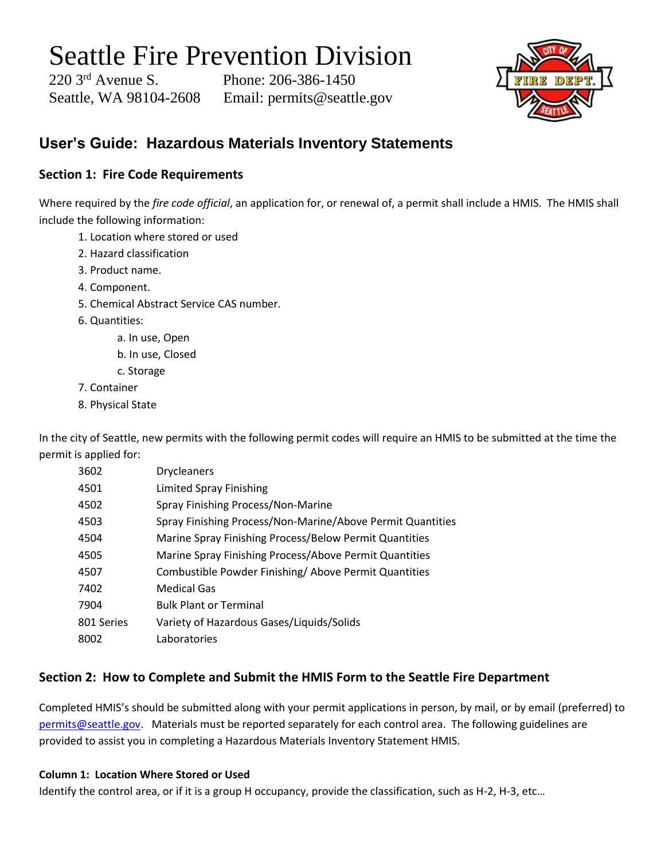# Seattle Fire Prevention Division

220 3rd Avenue S. Phone: 206-386-1450 Seattle, WA 98104-2608 Email: permits@seattle.gov



# **User's Guide: Hazardous Materials Inventory Statements**

## **Section 1: Fire Code Requirements**

Where required by the *fire code official*, an application for, or renewal of, a permit shall include a HMIS. The HMIS shall include the following information:

- 1. Location where stored or used
- 2. Hazard classification
- 3. Product name.
- 4. Component.
- 5. Chemical Abstract Service CAS number.
- 6. Quantities:
	- a. In use, Open
	- b. In use, Closed
	- c. Storage
- 7. Container
- 8. Physical State

In the city of Seattle, new permits with the following permit codes will require an HMIS to be submitted at the time the permit is applied for:

| 3602       | <b>Drycleaners</b>                                         |
|------------|------------------------------------------------------------|
| 4501       | <b>Limited Spray Finishing</b>                             |
| 4502       | Spray Finishing Process/Non-Marine                         |
| 4503       | Spray Finishing Process/Non-Marine/Above Permit Quantities |
| 4504       | Marine Spray Finishing Process/Below Permit Quantities     |
| 4505       | Marine Spray Finishing Process/Above Permit Quantities     |
| 4507       | Combustible Powder Finishing/Above Permit Quantities       |
| 7402       | Medical Gas                                                |
| 7904       | <b>Bulk Plant or Terminal</b>                              |
| 801 Series | Variety of Hazardous Gases/Liquids/Solids                  |
| 8002       | Laboratories                                               |

## **Section 2: How to Complete and Submit the HMIS Form to the Seattle Fire Department**

Completed HMIS's should be submitted along with your permit applications in person, by mail, or by email (preferred) to [permits@seattle.gov.](mailto:permits@seattle.gov) Materials must be reported separately for each control area. The following guidelines are provided to assist you in completing a Hazardous Materials Inventory Statement HMIS.

## **Column 1: Location Where Stored or Used**

Identify the control area, or if it is a group H occupancy, provide the classification, such as H-2, H-3, etc…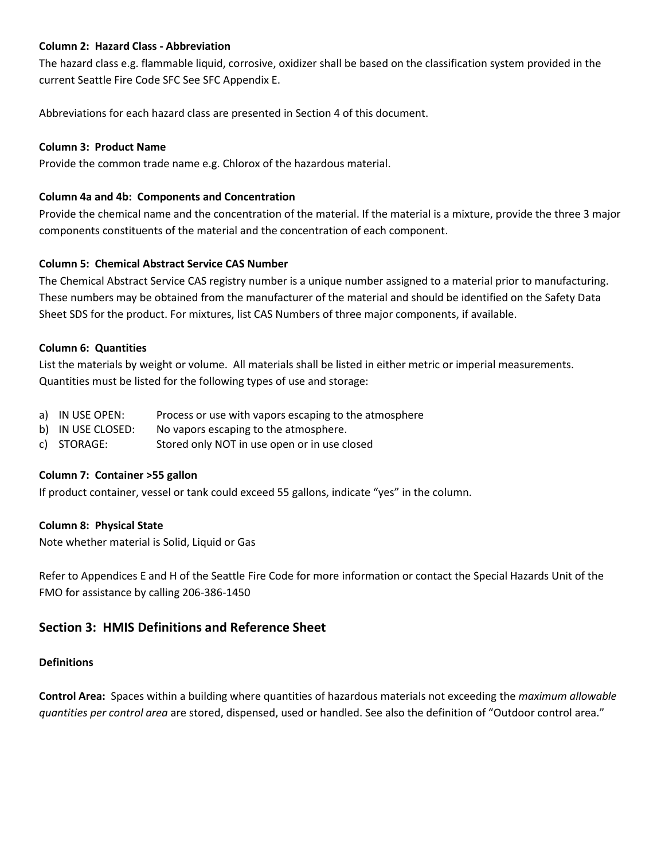## **Column 2: Hazard Class - Abbreviation**

The hazard class e.g. flammable liquid, corrosive, oxidizer shall be based on the classification system provided in the current Seattle Fire Code SFC See SFC Appendix E.

Abbreviations for each hazard class are presented in Section 4 of this document.

## **Column 3: Product Name**

Provide the common trade name e.g. Chlorox of the hazardous material.

## **Column 4a and 4b: Components and Concentration**

Provide the chemical name and the concentration of the material. If the material is a mixture, provide the three 3 major components constituents of the material and the concentration of each component.

## **Column 5: Chemical Abstract Service CAS Number**

The Chemical Abstract Service CAS registry number is a unique number assigned to a material prior to manufacturing. These numbers may be obtained from the manufacturer of the material and should be identified on the Safety Data Sheet SDS for the product. For mixtures, list CAS Numbers of three major components, if available.

## **Column 6: Quantities**

List the materials by weight or volume. All materials shall be listed in either metric or imperial measurements. Quantities must be listed for the following types of use and storage:

- a) IN USE OPEN: Process or use with vapors escaping to the atmosphere
- b) IN USE CLOSED: No vapors escaping to the atmosphere.
- c) STORAGE: Stored only NOT in use open or in use closed

### **Column 7: Container >55 gallon**

If product container, vessel or tank could exceed 55 gallons, indicate "yes" in the column.

### **Column 8: Physical State**

Note whether material is Solid, Liquid or Gas

Refer to Appendices E and H of the Seattle Fire Code for more information or contact the Special Hazards Unit of the FMO for assistance by calling 206-386-1450

## **Section 3: HMIS Definitions and Reference Sheet**

### **Definitions**

**Control Area:** Spaces within a building where quantities of hazardous materials not exceeding the *maximum allowable quantities per control area* are stored, dispensed, used or handled. See also the definition of "Outdoor control area."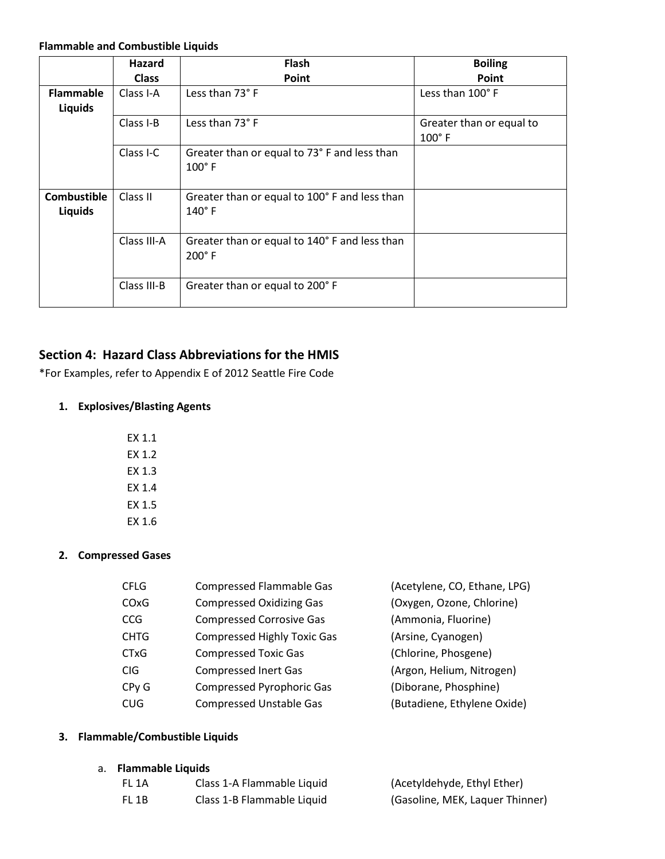#### **Flammable and Combustible Liquids**

|                                      | Hazard       | <b>Flash</b>                                                   | <b>Boiling</b>                              |
|--------------------------------------|--------------|----------------------------------------------------------------|---------------------------------------------|
|                                      | <b>Class</b> | Point                                                          | Point                                       |
| <b>Flammable</b><br><b>Liquids</b>   | Class I-A    | Less than 73° F                                                | Less than 100°F                             |
|                                      | Class I-B    | Less than 73° F                                                | Greater than or equal to<br>$100^{\circ}$ F |
|                                      | Class I-C    | Greater than or equal to 73° F and less than<br>$100^\circ$ F  |                                             |
| <b>Combustible</b><br><b>Liquids</b> | Class II     | Greater than or equal to 100° F and less than<br>$140^\circ$ F |                                             |
|                                      | Class III-A  | Greater than or equal to 140° F and less than<br>$200^\circ$ F |                                             |
|                                      | Class III-B  | Greater than or equal to 200° F                                |                                             |

## **Section 4: Hazard Class Abbreviations for the HMIS**

\*For Examples, refer to Appendix E of 2012 Seattle Fire Code

## **1. Explosives/Blasting Agents**

| EX 1.1 |
|--------|
| EX 1.2 |
| EX 1.3 |
| EX 1.4 |
| EX 1.5 |
| EX 1.6 |

## **2. Compressed Gases**

| <b>CFLG</b>       | <b>Compressed Flammable Gas</b>    | (Acetylene, CO, Ethane, LPG) |
|-------------------|------------------------------------|------------------------------|
| CO <sub>x</sub> G | <b>Compressed Oxidizing Gas</b>    | (Oxygen, Ozone, Chlorine)    |
| <b>CCG</b>        | <b>Compressed Corrosive Gas</b>    | (Ammonia, Fluorine)          |
| <b>CHTG</b>       | <b>Compressed Highly Toxic Gas</b> | (Arsine, Cyanogen)           |
| <b>CTxG</b>       | <b>Compressed Toxic Gas</b>        | (Chlorine, Phosgene)         |
| <b>CIG</b>        | <b>Compressed Inert Gas</b>        | (Argon, Helium, Nitrogen)    |
| CP <sub>y</sub> G | <b>Compressed Pyrophoric Gas</b>   | (Diborane, Phosphine)        |
| <b>CUG</b>        | <b>Compressed Unstable Gas</b>     | (Butadiene, Ethylene Oxide)  |
|                   |                                    |                              |

## **3. Flammable/Combustible Liquids**

### a. **Flammable Liquids**

| FL 1A | Class 1-A Flammable Liquid | (Acetyldehyde, Ethyl Ether)     |
|-------|----------------------------|---------------------------------|
| FL 1B | Class 1-B Flammable Liquid | (Gasoline, MEK, Laquer Thinner) |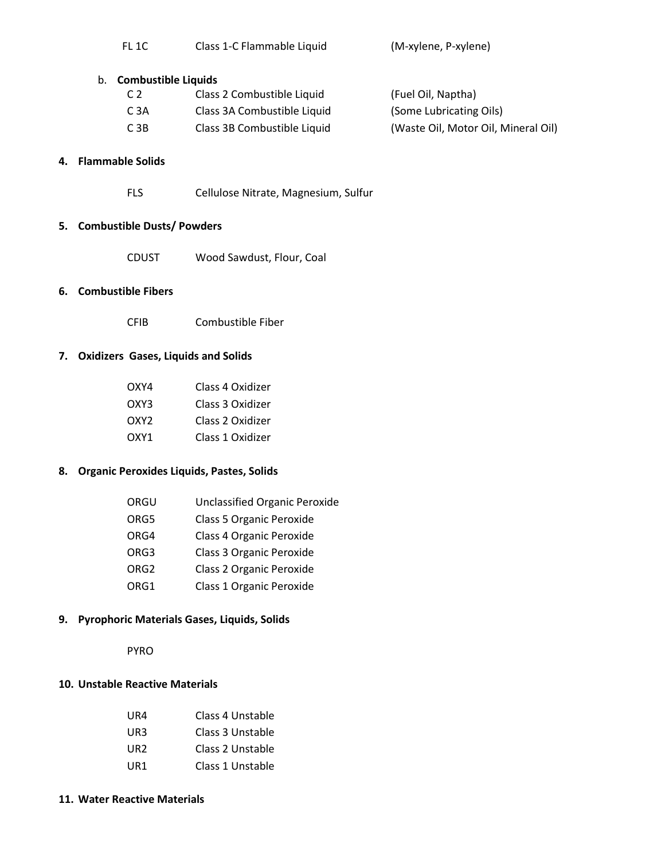| FL <sub>1C</sub> | Class 1-C Flammable Liquid | (M-xylene, P-xylene) |
|------------------|----------------------------|----------------------|
|                  |                            |                      |

#### b. **Combustible Liquids**

| C <sub>2</sub>   | Class 2 Combustible Liquid  | (Fuel Oil, Naptha)                  |
|------------------|-----------------------------|-------------------------------------|
| C 3A             | Class 3A Combustible Liquid | (Some Lubricating Oils)             |
| C <sub>3</sub> B | Class 3B Combustible Liquid | (Waste Oil, Motor Oil, Mineral Oil) |

## **4. Flammable Solids**

FLS Cellulose Nitrate, Magnesium, Sulfur

### **5. Combustible Dusts/ Powders**

CDUST Wood Sawdust, Flour, Coal

### **6. Combustible Fibers**

CFIB Combustible Fiber

## **7. Oxidizers Gases, Liquids and Solids**

| OXY4  | Class 4 Oxidizer |
|-------|------------------|
| OXY3. | Class 3 Oxidizer |
| OXY2  | Class 2 Oxidizer |
| OXY1  | Class 1 Oxidizer |

## **8. Organic Peroxides Liquids, Pastes, Solids**

| ORGU | <b>Unclassified Organic Peroxide</b> |
|------|--------------------------------------|
| ORG5 | Class 5 Organic Peroxide             |
| ORG4 | Class 4 Organic Peroxide             |
| ORG3 | Class 3 Organic Peroxide             |
| ORG2 | Class 2 Organic Peroxide             |
| ORG1 | Class 1 Organic Peroxide             |

### **9. Pyrophoric Materials Gases, Liquids, Solids**

PYRO

#### **10. Unstable Reactive Materials**

| UR4 | Class 4 Unstable |
|-----|------------------|
| UR3 | Class 3 Unstable |
| UR2 | Class 2 Unstable |
| UR1 | Class 1 Unstable |

#### **11. Water Reactive Materials**